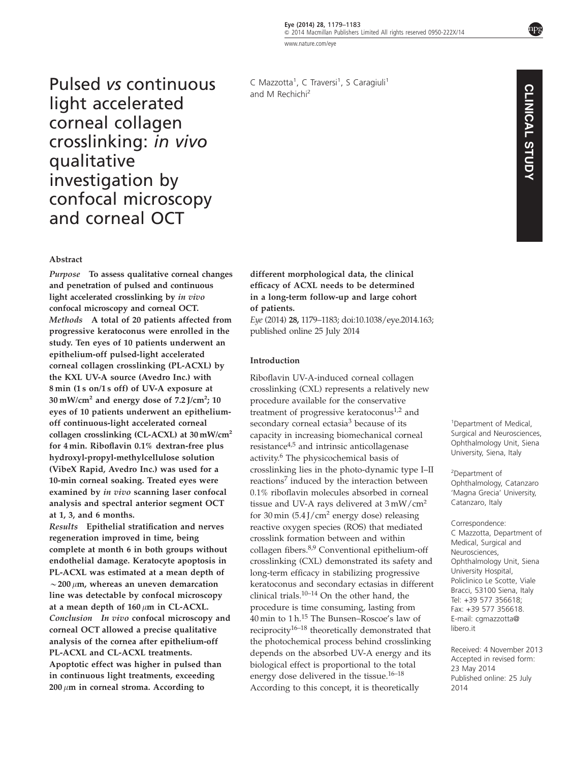[www.nature.com/eye](http://www.nature.com/eye)

Pulsed vs continuous light accelerated corneal collagen crosslinking: in vivo qualitative investigation by confocal microscopy and corneal OCT

### Abstract

Purpose To assess qualitative corneal changes and penetration of pulsed and continuous light accelerated crosslinking by in vivo confocal microscopy and corneal OCT. Methods A total of 20 patients affected from progressive keratoconus were enrolled in the study. Ten eyes of 10 patients underwent an epithelium-off pulsed-light accelerated corneal collagen crosslinking (PL-ACXL) by the KXL UV-A source (Avedro Inc.) with 8 min (1 s on/1 s off) of UV-A exposure at 30 mW/cm<sup>2</sup> and energy dose of 7.2 J/cm<sup>2</sup>; 10 eyes of 10 patients underwent an epitheliumoff continuous-light accelerated corneal collagen crosslinking (CL-ACXL) at  $30 \text{ mW/cm}^2$ for 4 min. Riboflavin 0.1% dextran-free plus hydroxyl-propyl-methylcellulose solution (VibeX Rapid, Avedro Inc.) was used for a 10-min corneal soaking. Treated eyes were examined by in vivo scanning laser confocal analysis and spectral anterior segment OCT at 1, 3, and 6 months.

Results Epithelial stratification and nerves regeneration improved in time, being complete at month 6 in both groups without endothelial damage. Keratocyte apoptosis in PL-ACXL was estimated at a mean depth of  $\sim$  200  $\mu$ m, whereas an uneven demarcation line was detectable by confocal microscopy at a mean depth of  $160 \mu m$  in CL-ACXL. Conclusion In vivo confocal microscopy and corneal OCT allowed a precise qualitative analysis of the cornea after epithelium-off PL-ACXL and CL-ACXL treatments. Apoptotic effect was higher in pulsed than in continuous light treatments, exceeding  $200 \mu m$  in corneal stroma. According to

C Mazzotta<sup>1</sup>, C Traversi<sup>1</sup>, S Caragiuli<sup>1</sup> and M Rechichi2

different morphological data, the clinical efficacy of ACXL needs to be determined in a long-term follow-up and large cohort of patients. Eye (2014) 28, 1179–1183; doi[:10.1038/eye.2014.163;](http://dx.doi.org/10.1038/eye.2014.163) published online 25 July 2014

#### Introduction

Riboflavin UV-A-induced corneal collagen crosslinking (CXL) represents a relatively new procedure available for the conservative treatment of progressive keratoconus<sup>[1,2](#page-3-0)</sup> and secondary corneal ectasia<sup>[3](#page-3-0)</sup> because of its capacity in increasing biomechanical corneal resistance $4,5$  and intrinsic anticollagenase activity[.6](#page-4-0) The physicochemical basis of crosslinking lies in the photo-dynamic type I–II reactions<sup>[7](#page-4-0)</sup> induced by the interaction between 0.1% riboflavin molecules absorbed in corneal tissue and UV-A rays delivered at  $3 \text{ mW/cm}^2$ for 30 min  $(5.4$  J/cm<sup>2</sup> energy dose) releasing reactive oxygen species (ROS) that mediated crosslink formation between and within collagen fibers.[8,9](#page-4-0) Conventional epithelium-off crosslinking (CXL) demonstrated its safety and long-term efficacy in stabilizing progressive keratoconus and secondary ectasias in different clinical trials.[10–14](#page-4-0) On the other hand, the procedure is time consuming, lasting from 40 min to 1 h.[15](#page-4-0) The Bunsen–Roscoe's law of reciprocity[16–18](#page-4-0) theoretically demonstrated that the photochemical process behind crosslinking depends on the absorbed UV-A energy and its biological effect is proportional to the total energy dose delivered in the tissue. $16-18$ According to this concept, it is theoretically

1 Department of Medical, Surgical and Neurosciences, Ophthalmology Unit, Siena University, Siena, Italy

2 Department of Ophthalmology, Catanzaro 'Magna Grecia' University, Catanzaro, Italy

Correspondence: C Mazzotta, Department of Medical, Surgical and Neurosciences, Ophthalmology Unit, Siena University Hospital, Policlinico Le Scotte, Viale Bracci, 53100 Siena, Italy Tel: +39 577 356618; Fax: +39 577 356618. E-mail: [cgmazzotta@](mailto:cgmazzotta@libero.it) [libero.it](mailto:cgmazzotta@libero.it)

Received: 4 November 2013 Accepted in revised form: 23 May 2014 Published online: 25 July 2014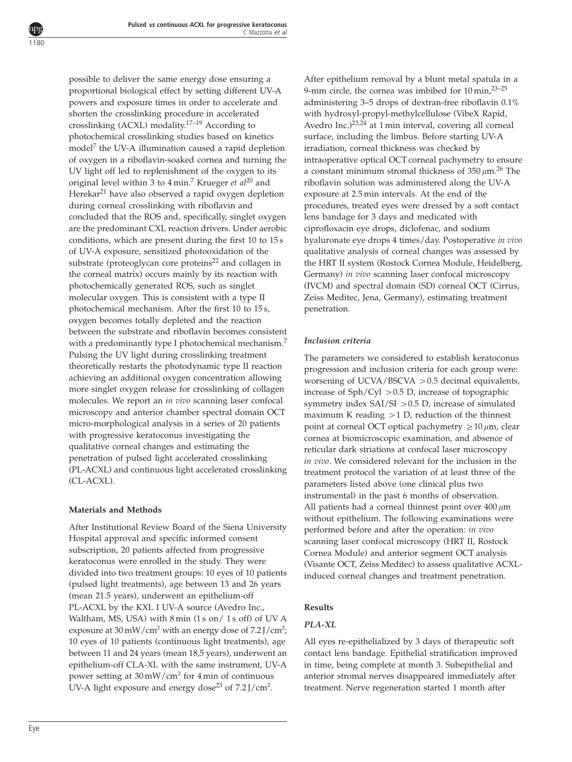possible to deliver the same energy dose ensuring a proportional biological effect by setting different UV-A powers and exposure times in order to accelerate and shorten the crosslinking procedure in accelerated crosslinking (ACXL) modality.[17–19](#page-4-0) According to photochemical crosslinking studies based on kinetics model[7](#page-4-0) the UV-A illumination caused a rapid depletion of oxygen in a riboflavin-soaked cornea and turning the UV light off led to replenishment of the oxygen to its original level within 3 to  $4 \text{ min.}^7$  $4 \text{ min.}^7$  Krueger et al<sup>[20](#page-4-0)</sup> and Herekar<sup>21</sup> have also observed a rapid oxygen depletion during corneal crosslinking with riboflavin and concluded that the ROS and, specifically, singlet oxygen are the predominant CXL reaction drivers. Under aerobic conditions, which are present during the first 10 to 15 s of UV-A exposure, sensitized photooxidation of the substrate (proteoglycan core proteins<sup>22</sup> and collagen in the corneal matrix) occurs mainly by its reaction with photochemically generated ROS, such as singlet molecular oxygen. This is consistent with a type II photochemical mechanism. After the first 10 to 15 s, oxygen becomes totally depleted and the reaction between the substrate and riboflavin becomes consistent with a predominantly type I photochemical mechanism.<sup>[7](#page-4-0)</sup> Pulsing the UV light during crosslinking treatment theoretically restarts the photodynamic type II reaction achieving an additional oxygen concentration allowing more singlet oxygen release for crosslinking of collagen molecules. We report an in vivo scanning laser confocal microscopy and anterior chamber spectral domain OCT micro-morphological analysis in a series of 20 patients with progressive keratoconus investigating the qualitative corneal changes and estimating the penetration of pulsed light accelerated crosslinking (PL-ACXL) and continuous light accelerated crosslinking (CL-ACXL).

## Materials and Methods

After Institutional Review Board of the Siena University Hospital approval and specific informed consent subscription, 20 patients affected from progressive keratoconus were enrolled in the study. They were divided into two treatment groups: 10 eyes of 10 patients (pulsed light treatments), age between 13 and 26 years (mean 21.5 years), underwent an epithelium-off PL-ACXL by the KXL I UV-A source (Avedro Inc., Waltham, MS, USA) with 8 min (1 s on/ 1 s off) of UV A exposure at  $30 \,\text{mW}/\text{cm}^2$  with an energy dose of  $7.2 \,\text{J}/\text{cm}^2$ ; 10 eyes of 10 patients (continuous light treatments), age between 11 and 24 years (mean 18,5 years), underwent an epithelium-off CLA-XL with the same instrument, UV-A power setting at 30 mW/cm<sup>2</sup> for 4 min of continuous UV-A light exposure and energy dose<sup>[23](#page-4-0)</sup> of  $7.2$  J/cm<sup>2</sup>.

After epithelium removal by a blunt metal spatula in a 9-mm circle, the cornea was imbibed for  $10 \text{ min}$ ,  $23-25$ administering 3–5 drops of dextran-free riboflavin 0.1% with hydroxyl-propyl-methylcellulose (VibeX Rapid, Avedro Inc.)<sup>[23,24](#page-4-0)</sup> at 1 min interval, covering all corneal surface, including the limbus. Before starting UV-A irradiation, corneal thickness was checked by intraoperative optical OCT corneal pachymetry to ensure a constant minimum stromal thickness of  $350 \,\mu m$ .<sup>[26](#page-4-0)</sup> The riboflavin solution was administered along the UV-A exposure at 2.5 min intervals. At the end of the procedures, treated eyes were dressed by a soft contact lens bandage for 3 days and medicated with ciprofloxacin eye drops, diclofenac, and sodium hyaluronate eye drops 4 times/day. Postoperative in vivo qualitative analysis of corneal changes was assessed by the HRT II system (Rostock Cornea Module, Heidelberg, Germany) in vivo scanning laser confocal microscopy (IVCM) and spectral domain (SD) corneal OCT (Cirrus, Zeiss Meditec, Jena, Germany), estimating treatment penetration.

# Inclusion criteria

The parameters we considered to establish keratoconus progression and inclusion criteria for each group were: worsening of UCVA/BSCVA  $> 0.5$  decimal equivalents, increase of  $Sph/Cyl > 0.5$  D, increase of topographic symmetry index  $SAI/SI > 0.5$  D, increase of simulated maximum K reading  $>1$  D, reduction of the thinnest point at corneal OCT optical pachymetry  $\geq 10 \mu m$ , clear cornea at biomicroscopic examination, and absence of reticular dark striations at confocal laser microscopy in vivo. We considered relevant for the inclusion in the treatment protocol the variation of at least three of the parameters listed above (one clinical plus two instrumental) in the past 6 months of observation. All patients had a corneal thinnest point over  $400 \mu m$ without epithelium. The following examinations were performed before and after the operation: in vivo scanning laser confocal microscopy (HRT II, Rostock Cornea Module) and anterior segment OCT analysis (Visante OCT, Zeiss Meditec) to assess qualitative ACXLinduced corneal changes and treatment penetration.

# Results

# PLA-XL

All eyes re-epithelialized by 3 days of therapeutic soft contact lens bandage. Epithelial stratification improved in time, being complete at month 3. Subepithelial and anterior stromal nerves disappeared immediately after treatment. Nerve regeneration started 1 month after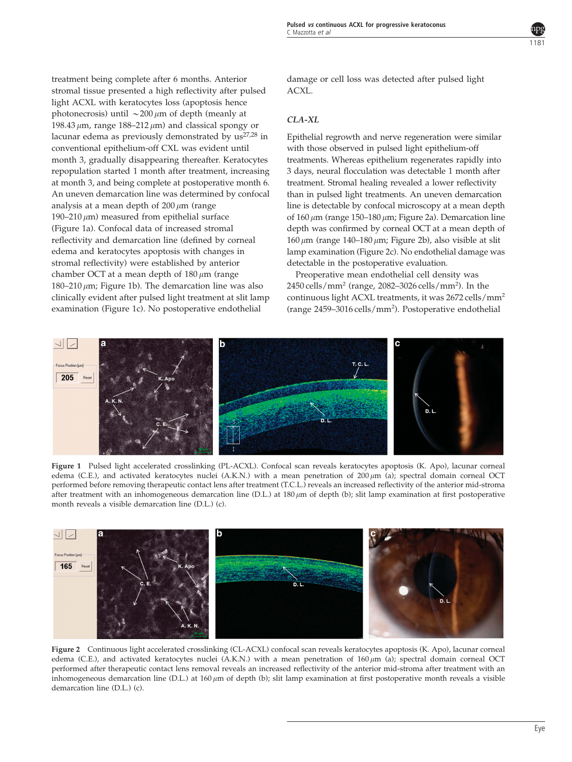<span id="page-2-0"></span>treatment being complete after 6 months. Anterior stromal tissue presented a high reflectivity after pulsed light ACXL with keratocytes loss (apoptosis hence photonecrosis) until  $\sim$  200  $\mu$ m of depth (meanly at 198.43  $\mu$ m, range 188–212  $\mu$ m) and classical spongy or lacunar edema as previously demonstrated by  $us^{27,28}$  $us^{27,28}$  $us^{27,28}$  in conventional epithelium-off CXL was evident until month 3, gradually disappearing thereafter. Keratocytes repopulation started 1 month after treatment, increasing at month 3, and being complete at postoperative month 6. An uneven demarcation line was determined by confocal analysis at a mean depth of  $200 \mu m$  (range 190–210  $\mu$ m) measured from epithelial surface (Figure 1a). Confocal data of increased stromal reflectivity and demarcation line (defined by corneal edema and keratocytes apoptosis with changes in stromal reflectivity) were established by anterior chamber OCT at a mean depth of  $180 \mu m$  (range 180–210  $\mu$ m; Figure 1b). The demarcation line was also clinically evident after pulsed light treatment at slit lamp examination (Figure 1c). No postoperative endothelial

damage or cell loss was detected after pulsed light ACXL.

## CLA-XL

Epithelial regrowth and nerve regeneration were similar with those observed in pulsed light epithelium-off treatments. Whereas epithelium regenerates rapidly into 3 days, neural flocculation was detectable 1 month after treatment. Stromal healing revealed a lower reflectivity than in pulsed light treatments. An uneven demarcation line is detectable by confocal microscopy at a mean depth of  $160 \mu m$  (range  $150-180 \mu m$ ; Figure 2a). Demarcation line depth was confirmed by corneal OCT at a mean depth of  $160 \mu m$  (range 140–180  $\mu m$ ; Figure 2b), also visible at slit lamp examination (Figure 2c). No endothelial damage was detectable in the postoperative evaluation.

Preoperative mean endothelial cell density was 2450 cells/mm<sup>2</sup> (range, 2082–3026 cells/mm<sup>2</sup>). In the continuous light ACXL treatments, it was 2672 cells/mm<sup>2</sup> (range 2459-3016 cells/mm<sup>2</sup>). Postoperative endothelial



Figure 1 Pulsed light accelerated crosslinking (PL-ACXL). Confocal scan reveals keratocytes apoptosis (K. Apo), lacunar corneal edema (C.E.), and activated keratocytes nuclei (A.K.N.) with a mean penetration of 200  $\mu$ m (a); spectral domain corneal OCT performed before removing therapeutic contact lens after treatment (T.C.L.) reveals an increased reflectivity of the anterior mid-stroma after treatment with an inhomogeneous demarcation line (D.L.) at  $180 \mu m$  of depth (b); slit lamp examination at first postoperative month reveals a visible demarcation line (D.L.) (c).



Figure 2 Continuous light accelerated crosslinking (CL-ACXL) confocal scan reveals keratocytes apoptosis (K. Apo), lacunar corneal edema (C.E.), and activated keratocytes nuclei (A.K.N.) with a mean penetration of 160  $\mu$ m (a); spectral domain corneal OCT performed after therapeutic contact lens removal reveals an increased reflectivity of the anterior mid-stroma after treatment with an inhomogeneous demarcation line (D.L.) at 160  $\mu$ m of depth (b); slit lamp examination at first postoperative month reveals a visible demarcation line (D.L.) (c).

1181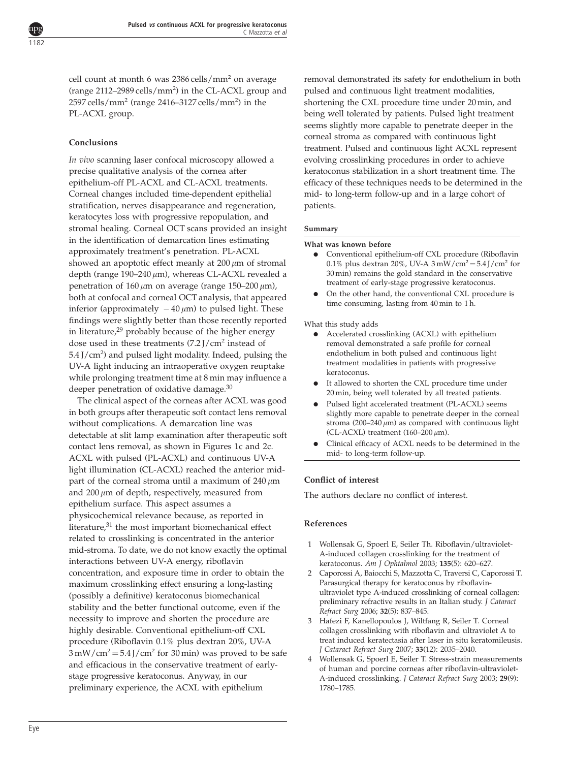<span id="page-3-0"></span>cell count at month 6 was 2386 cells/mm<sup>2</sup> on average (range 2112–2989 cells/mm<sup>2</sup>) in the CL-ACXL group and 2597 cells/mm $^2$  (range 2416–3127 cells/mm $^2$ ) in the PL-ACXL group.

# Conclusions

In vivo scanning laser confocal microscopy allowed a precise qualitative analysis of the cornea after epithelium-off PL-ACXL and CL-ACXL treatments. Corneal changes included time-dependent epithelial stratification, nerves disappearance and regeneration, keratocytes loss with progressive repopulation, and stromal healing. Corneal OCT scans provided an insight in the identification of demarcation lines estimating approximately treatment's penetration. PL-ACXL showed an apoptotic effect meanly at  $200 \mu m$  of stromal depth (range  $190-240 \mu m$ ), whereas CL-ACXL revealed a penetration of  $160 \mu m$  on average (range  $150-200 \mu m$ ), both at confocal and corneal OCT analysis, that appeared inferior (approximately  $-40 \,\mu$ m) to pulsed light. These findings were slightly better than those recently reported in literature, $29$  probably because of the higher energy dose used in these treatments  $(7.2$  J/cm<sup>2</sup> instead of 5.4 J/cm<sup>2</sup>) and pulsed light modality. Indeed, pulsing the UV-A light inducing an intraoperative oxygen reuptake while prolonging treatment time at 8 min may influence a deeper penetration of oxidative damage.<sup>[30](#page-4-0)</sup>

The clinical aspect of the corneas after ACXL was good in both groups after therapeutic soft contact lens removal without complications. A demarcation line was detectable at slit lamp examination after therapeutic soft contact lens removal, as shown in [Figures 1c and 2c](#page-2-0). ACXL with pulsed (PL-ACXL) and continuous UV-A light illumination (CL-ACXL) reached the anterior midpart of the corneal stroma until a maximum of  $240 \mu m$ and  $200 \mu m$  of depth, respectively, measured from epithelium surface. This aspect assumes a physicochemical relevance because, as reported in literature, $31$  the most important biomechanical effect related to crosslinking is concentrated in the anterior mid-stroma. To date, we do not know exactly the optimal interactions between UV-A energy, riboflavin concentration, and exposure time in order to obtain the maximum crosslinking effect ensuring a long-lasting (possibly a definitive) keratoconus biomechanical stability and the better functional outcome, even if the necessity to improve and shorten the procedure are highly desirable. Conventional epithelium-off CXL procedure (Riboflavin 0.1% plus dextran 20%, UV-A  $3 \text{ mW/cm}^2 = 5.4 \text{ J/cm}^2$  for 30 min) was proved to be safe and efficacious in the conservative treatment of earlystage progressive keratoconus. Anyway, in our preliminary experience, the ACXL with epithelium

removal demonstrated its safety for endothelium in both pulsed and continuous light treatment modalities, shortening the CXL procedure time under 20 min, and being well tolerated by patients. Pulsed light treatment seems slightly more capable to penetrate deeper in the corneal stroma as compared with continuous light treatment. Pulsed and continuous light ACXL represent evolving crosslinking procedures in order to achieve keratoconus stabilization in a short treatment time. The efficacy of these techniques needs to be determined in the mid- to long-term follow-up and in a large cohort of patients.

#### Summary

#### What was known before

- Conventional epithelium-off CXL procedure (Riboflavin 0.1% plus dextran 20%, UV-A  $3 \text{ mW/cm}^2 = 5.4 \text{ J/cm}^2$  for 30 min) remains the gold standard in the conservative treatment of early-stage progressive keratoconus.
- On the other hand, the conventional CXL procedure is time consuming, lasting from 40 min to 1 h.

#### What this study adds

- $\bullet$  Accelerated crosslinking (ACXL) with epithelium removal demonstrated a safe profile for corneal endothelium in both pulsed and continuous light treatment modalities in patients with progressive keratoconus.
- It allowed to shorten the CXL procedure time under 20 min, being well tolerated by all treated patients.
- Pulsed light accelerated treatment (PL-ACXL) seems slightly more capable to penetrate deeper in the corneal stroma (200–240  $\mu$ m) as compared with continuous light (CL-ACXL) treatment (160–200  $\mu$ m).
- Clinical efficacy of ACXL needs to be determined in the mid- to long-term follow-up.

## Conflict of interest

The authors declare no conflict of interest.

## References

- 1 Wollensak G, Spoerl E, Seiler Th. Riboflavin/ultraviolet-A-induced collagen crosslinking for the treatment of keratoconus. Am J Ophtalmol 2003; 135(5): 620–627.
- 2 Caporossi A, Baiocchi S, Mazzotta C, Traversi C, Caporossi T. Parasurgical therapy for keratoconus by riboflavinultraviolet type A-induced crosslinking of corneal collagen: preliminary refractive results in an Italian study. J Cataract Refract Surg 2006; 32(5): 837–845.
- 3 Hafezi F, Kanellopoulos J, Wiltfang R, Seiler T. Corneal collagen crosslinking with riboflavin and ultraviolet A to treat induced keratectasia after laser in situ keratomileusis. J Cataract Refract Surg 2007; 33(12): 2035–2040.
- 4 Wollensak G, Spoerl E, Seiler T. Stress-strain measurements of human and porcine corneas after riboflavin-ultraviolet-A-induced crosslinking. J Cataract Refract Surg 2003; 29(9): 1780–1785.